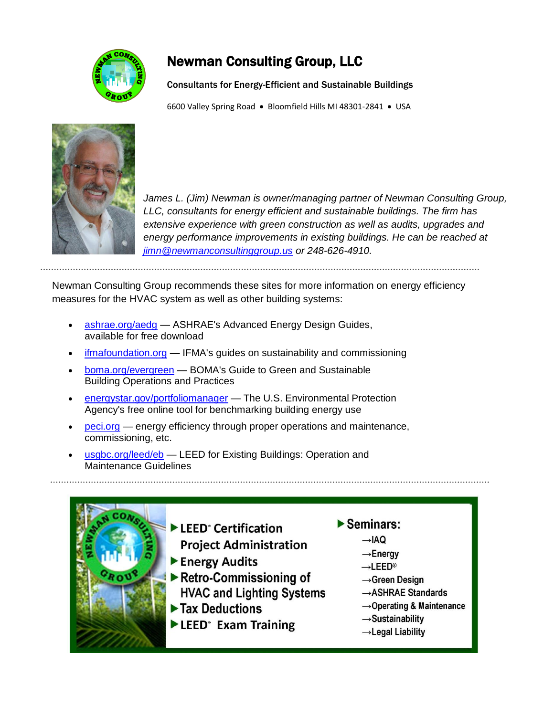

# Newman Consulting Group, LLC

Consultants for Energy-Efficient and Sustainable Buildings

6600 Valley Spring Road · Bloomfield Hills MI 48301-2841 · USA



James L. (Jim) Newman is owner/managing partner of Newman Consulting Group, *LLC, consultants for energy efficient and sustainable buildings. The firm has extensive experience with green construction as well as audits, upgrades and energy performance improvements in existing buildings. He can be reached at [jimn@newmanconsultinggroup.us](mailto:jimn@newmanconsultinggroup.us) or 248-626-4910.*

Newman Consulting Group recommends these sites for more information on energy efficiency measures for the HVAC system as well as other building systems:

- [ashrae.org/aedg](http://www.ashrae.org/aedg) ASHRAE's Advanced Energy Design Guides, available for free download
- [ifmafoundation.org](http://www.ifmafoundation.org/) IFMA's guides on sustainability and commissioning
- [boma.org/evergreen](http://www.boma.org/evergreen) BOMA's Guide to Green and Sustainable Building Operations and Practices
- [energystar.gov/portfoliomanager](http://www.energystar.gov/portfoliomanager) The U.S. Environmental Protection Agency's free online tool for benchmarking building energy use
- [peci.org](http://www.peci.org/) energy efficiency through proper operations and maintenance, commissioning, etc.
- . [usgbc.org/leed/eb](http://www.usgbc.org/leed/eb) LEED for Existing Buildings: Operation and Maintenance Guidelines

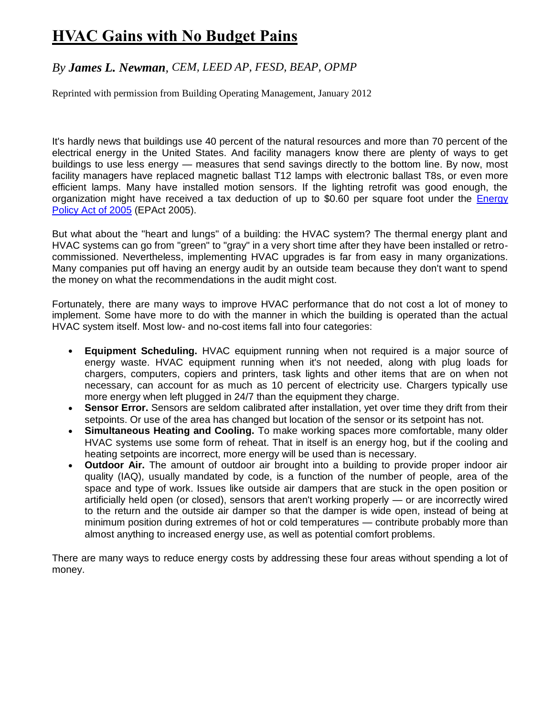# **HVAC Gains with No Budget Pains**

## *By James L. Newman, CEM, LEED AP, FESD, BEAP, OPMP*

Reprinted with permission from Building Operating Management, January 2012

It's hardly news that buildings use 40 percent of the natural resources and more than 70 percent of the electrical energy in the United States. And facility managers know there are plenty of ways to get buildings to use less energy — measures that send savings directly to the bottom line. By now, most facility managers have replaced magnetic ballast T12 lamps with electronic ballast T8s, or even more efficient lamps. Many have installed motion sensors. If the lighting retrofit was good enough, the organization might have received a tax deduction of up to \$0.60 per square foot under the [Energy](http://www1.eere.energy.gov/femp/regulations/epact2005.html)  [Policy Act of 2005](http://www1.eere.energy.gov/femp/regulations/epact2005.html) (EPAct 2005).

But what about the "heart and lungs" of a building: the HVAC system? The thermal energy plant and HVAC systems can go from "green" to "gray" in a very short time after they have been installed or retrocommissioned. Nevertheless, implementing HVAC upgrades is far from easy in many organizations. Many companies put off having an energy audit by an outside team because they don't want to spend the money on what the recommendations in the audit might cost.

Fortunately, there are many ways to improve HVAC performance that do not cost a lot of money to implement. Some have more to do with the manner in which the building is operated than the actual HVAC system itself. Most low- and no-cost items fall into four categories:

- **Equipment Scheduling.** HVAC equipment running when not required is a major source of energy waste. HVAC equipment running when it's not needed, along with plug loads for chargers, computers, copiers and printers, task lights and other items that are on when not necessary, can account for as much as 10 percent of electricity use. Chargers typically use more energy when left plugged in 24/7 than the equipment they charge.
- **Sensor Error.** Sensors are seldom calibrated after installation, yet over time they drift from their setpoints. Or use of the area has changed but location of the sensor or its setpoint has not.
- **Simultaneous Heating and Cooling.** To make working spaces more comfortable, many older HVAC systems use some form of reheat. That in itself is an energy hog, but if the cooling and heating setpoints are incorrect, more energy will be used than is necessary.
- **Outdoor Air.** The amount of outdoor air brought into a building to provide proper indoor air quality (IAQ), usually mandated by code, is a function of the number of people, area of the space and type of work. Issues like outside air dampers that are stuck in the open position or artificially held open (or closed), sensors that aren't working properly — or are incorrectly wired to the return and the outside air damper so that the damper is wide open, instead of being at minimum position during extremes of hot or cold temperatures — contribute probably more than almost anything to increased energy use, as well as potential comfort problems.

There are many ways to reduce energy costs by addressing these four areas without spending a lot of money.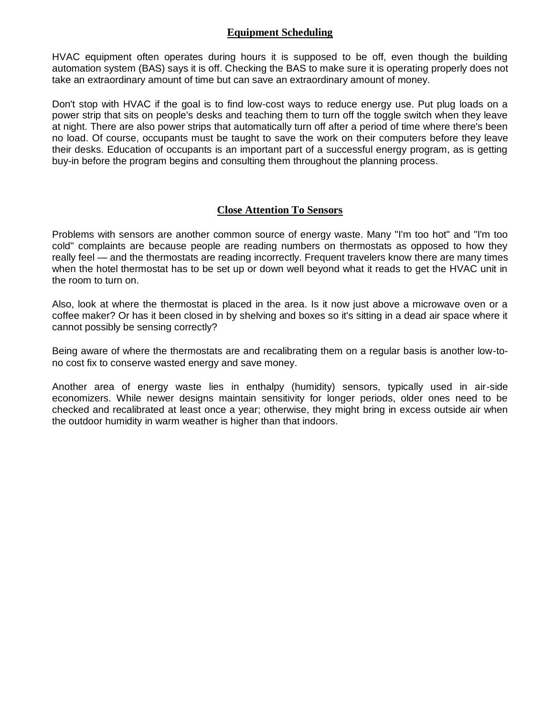## **Equipment Scheduling**

HVAC equipment often operates during hours it is supposed to be off, even though the building automation system (BAS) says it is off. Checking the BAS to make sure it is operating properly does not take an extraordinary amount of time but can save an extraordinary amount of money.

Don't stop with HVAC if the goal is to find low-cost ways to reduce energy use. Put plug loads on a power strip that sits on people's desks and teaching them to turn off the toggle switch when they leave at night. There are also power strips that automatically turn off after a period of time where there's been no load. Of course, occupants must be taught to save the work on their computers before they leave their desks. Education of occupants is an important part of a successful energy program, as is getting buy-in before the program begins and consulting them throughout the planning process.

#### **Close Attention To Sensors**

Problems with sensors are another common source of energy waste. Many "I'm too hot" and "I'm too cold" complaints are because people are reading numbers on thermostats as opposed to how they really feel — and the thermostats are reading incorrectly. Frequent travelers know there are many times when the hotel thermostat has to be set up or down well beyond what it reads to get the HVAC unit in the room to turn on.

Also, look at where the thermostat is placed in the area. Is it now just above a microwave oven or a coffee maker? Or has it been closed in by shelving and boxes so it's sitting in a dead air space where it cannot possibly be sensing correctly?

Being aware of where the thermostats are and recalibrating them on a regular basis is another low-tono cost fix to conserve wasted energy and save money.

Another area of energy waste lies in enthalpy (humidity) sensors, typically used in air-side economizers. While newer designs maintain sensitivity for longer periods, older ones need to be checked and recalibrated at least once a year; otherwise, they might bring in excess outside air when the outdoor humidity in warm weather is higher than that indoors.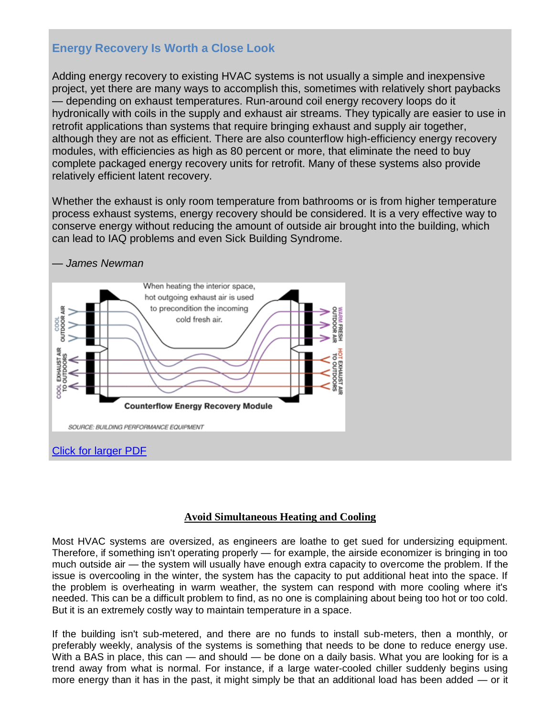# **Energy Recovery Is Worth a Close Look**

Adding energy recovery to existing HVAC systems is not usually a simple and inexpensive project, yet there are many ways to accomplish this, sometimes with relatively short paybacks — depending on exhaust temperatures. Run-around coil energy recovery loops do it hydronically with coils in the supply and exhaust air streams. They typically are easier to use in retrofit applications than systems that require bringing exhaust and supply air together, although they are not as efficient. There are also counterflow high-efficiency energy recovery modules, with efficiencies as high as 80 percent or more, that eliminate the need to buy complete packaged energy recovery units for retrofit. Many of these systems also provide relatively efficient latent recovery.

Whether the exhaust is only room temperature from bathrooms or is from higher temperature process exhaust systems, energy recovery should be considered. It is a very effective way to conserve energy without reducing the amount of outside air brought into the building, which can lead to IAQ problems and even Sick Building Syndrome.



### **Avoid Simultaneous Heating and Cooling**

Most HVAC systems are oversized, as engineers are loathe to get sued for undersizing equipment. Therefore, if something isn't operating properly — for example, the airside economizer is bringing in too much outside air — the system will usually have enough extra capacity to overcome the problem. If the issue is overcooling in the winter, the system has the capacity to put additional heat into the space. If the problem is overheating in warm weather, the system can respond with more cooling where it's needed. This can be a difficult problem to find, as no one is complaining about being too hot or too cold. But it is an extremely costly way to maintain temperature in a space.

If the building isn't sub-metered, and there are no funds to install sub-meters, then a monthly, or preferably weekly, analysis of the systems is something that needs to be done to reduce energy use. With a BAS in place, this can — and should — be done on a daily basis. What you are looking for is a trend away from what is normal. For instance, if a large water-cooled chiller suddenly begins using more energy than it has in the past, it might simply be that an additional load has been added — or it